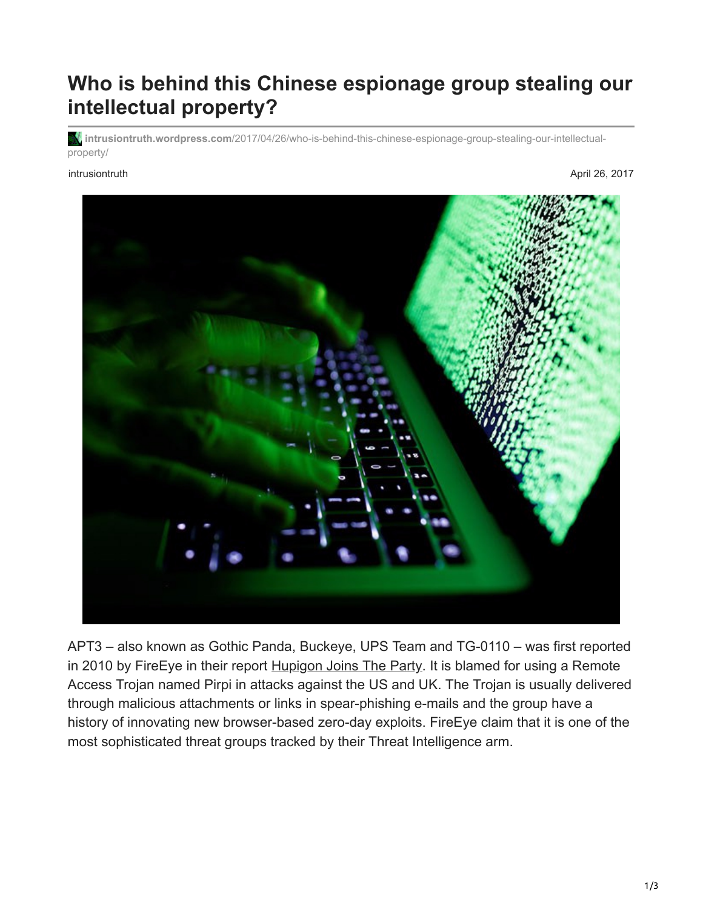## **Who is behind this Chinese espionage group stealing our intellectual property?**

**intrusiontruth.wordpress.com**[/2017/04/26/who-is-behind-this-chinese-espionage-group-stealing-our-intellectual](https://intrusiontruth.wordpress.com/2017/04/26/who-is-behind-this-chinese-espionage-group-stealing-our-intellectual-property/)property/

intrusiontruth April 26, 2017



APT3 – also known as Gothic Panda, Buckeye, UPS Team and TG-0110 – was first reported in 2010 by FireEye in their report [Hupigon Joins The Party.](https://www.fireeye.com/blog/threat-research/2010/11/ie-0-day-hupigon-joins-the-party.html) It is blamed for using a Remote Access Trojan named Pirpi in attacks against the US and UK. The Trojan is usually delivered through malicious attachments or links in spear-phishing e-mails and the group have a history of innovating new browser-based zero-day exploits. FireEye claim that it is one of the most sophisticated threat groups tracked by their Threat Intelligence arm.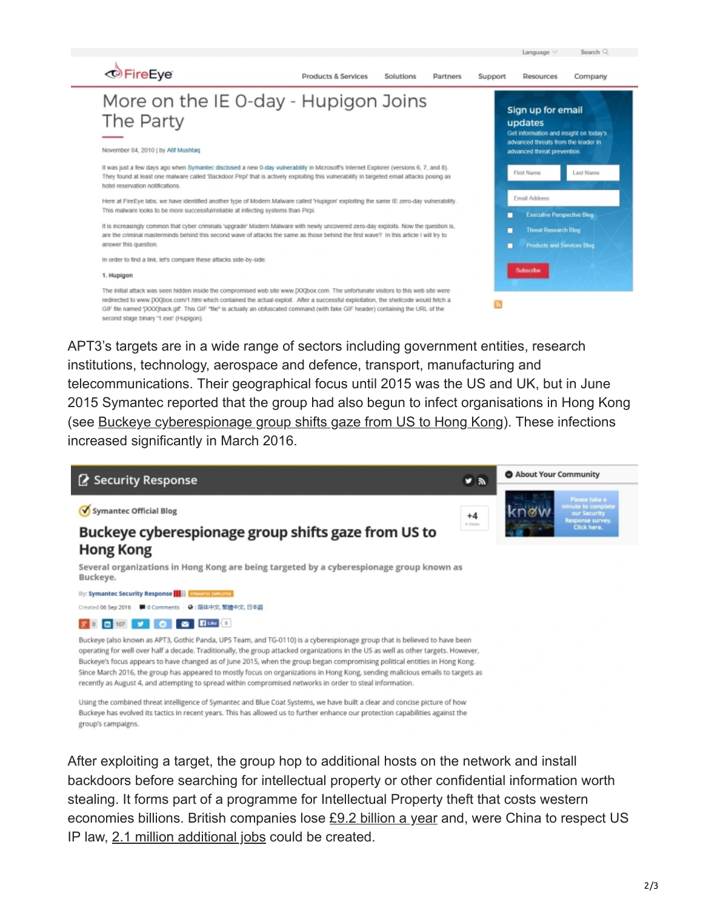

APT3's targets are in a wide range of sectors including government entities, research institutions, technology, aerospace and defence, transport, manufacturing and telecommunications. Their geographical focus until 2015 was the US and UK, but in June 2015 Symantec reported that the group had also begun to infect organisations in Hong Kong (see [Buckeye cyberespionage group shifts gaze from US to Hong Kong\)](https://www.symantec.com/connect/blogs/buckeye-cyberespionage-group-shifts-gaze-us-hong-kong). These infections increased significantly in March 2016.



Using the combined threat intelligence of Symantec and Blue Coat Systems, we have built a clear and concise picture of how Buckeye has evolved its tactics in recent years. This has allowed us to further enhance our protection capabilities against the group's campaigns.

After exploiting a target, the group hop to additional hosts on the network and install backdoors before searching for intellectual property or other confidential information worth stealing. It forms part of a programme for Intellectual Property theft that costs western economies billions. British companies lose [£9.2 billion a year](https://www.scmagazineuk.com/ip-theft-is-most-damaging-cyber-crime-for-uk-businesses/article/530751/) and, were China to respect US IP law, [2.1 million additional jobs](https://www.theregister.co.uk/2013/05/23/us_government_report_chinese_ip_theft/) could be created.